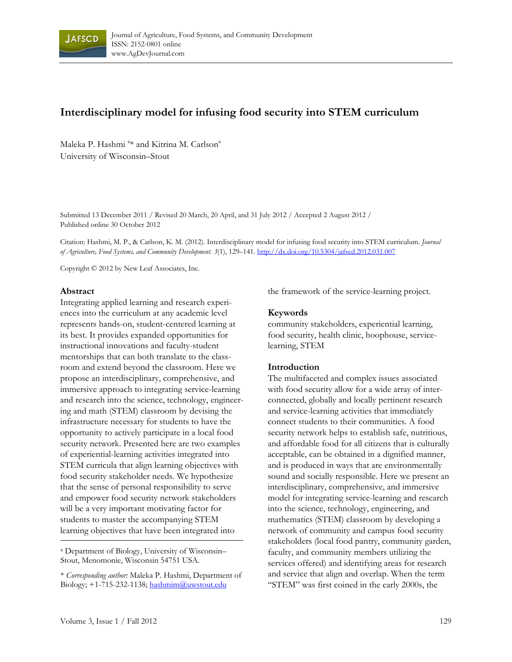

# **Interdisciplinary model for infusing food security into STEM curriculum**

Maleka P. Hashmi <sup>a</sup>\* and Kitrina M. Carlson<sup>a</sup> University of Wisconsin–Stout

Submitted 13 December 2011 / Revised 20 March, 20 April, and 31 July 2012 / Accepted 2 August 2012 / Published online 30 October 2012

Citation: Hashmi, M. P., & Carlson, K. M. (2012). Interdisciplinary model for infusing food security into STEM curriculum. *Journal of Agriculture, Food Systems, and Community Development. 3*(1), 129–141. http://dx.doi.org/10.5304/jafscd.2012.031.007

Copyright © 2012 by New Leaf Associates, Inc.

#### **Abstract**

Integrating applied learning and research experiences into the curriculum at any academic level represents hands-on, student-centered learning at its best. It provides expanded opportunities for instructional innovations and faculty-student mentorships that can both translate to the classroom and extend beyond the classroom. Here we propose an interdisciplinary, comprehensive, and immersive approach to integrating service-learning and research into the science, technology, engineering and math (STEM) classroom by devising the infrastructure necessary for students to have the opportunity to actively participate in a local food security network. Presented here are two examples of experiential-learning activities integrated into STEM curricula that align learning objectives with food security stakeholder needs. We hypothesize that the sense of personal responsibility to serve and empower food security network stakeholders will be a very important motivating factor for students to master the accompanying STEM learning objectives that have been integrated into

a Department of Biology, University of Wisconsin– Stout, Menomonie, Wisconsin 54751 USA.

the framework of the service-learning project.

#### **Keywords**

community stakeholders, experiential learning, food security, health clinic, hoophouse, servicelearning, STEM

#### **Introduction**

The multifaceted and complex issues associated with food security allow for a wide array of interconnected, globally and locally pertinent research and service-learning activities that immediately connect students to their communities. A food security network helps to establish safe, nutritious, and affordable food for all citizens that is culturally acceptable, can be obtained in a dignified manner, and is produced in ways that are environmentally sound and socially responsible. Here we present an interdisciplinary, comprehensive, and immersive model for integrating service-learning and research into the science, technology, engineering, and mathematics (STEM) classroom by developing a network of community and campus food security stakeholders (local food pantry, community garden, faculty, and community members utilizing the services offered) and identifying areas for research and service that align and overlap. When the term "STEM" was first coined in the early 2000s, the

<sup>\*</sup> *Corresponding author:* Maleka P. Hashmi, Department of Biology;  $+1-715-232-1138$ ; hashmim@uwstout.edu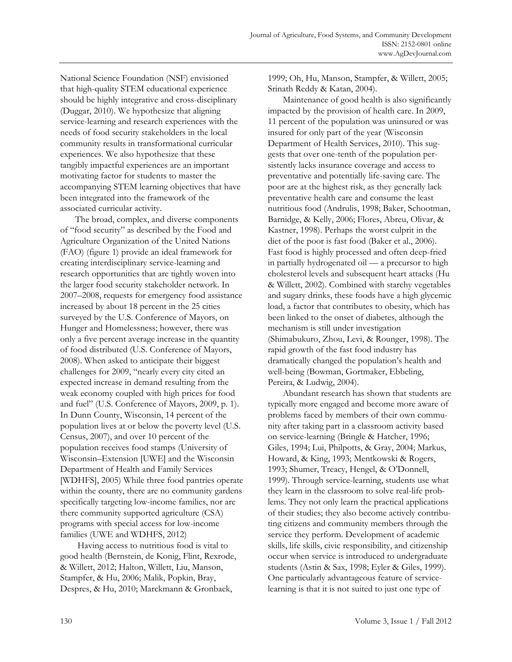National Science Foundation (NSF) envisioned that high-quality STEM educational experience should be highly integrative and cross-disciplinary (Duggar, 2010). We hypothesize that aligning service-learning and research experiences with the needs of food security stakeholders in the local community results in transformational curricular experiences. We also hypothesize that these tangibly impactful experiences are an important motivating factor for students to master the accompanying STEM learning objectives that have been integrated into the framework of the associated curricular activity.

The broad, complex, and diverse components of "food security" as described by the Food and Agriculture Organization of the United Nations (FAO) (figure 1) provide an ideal framework for creating interdisciplinary service-learning and research opportunities that are tightly woven into the larger food security stakeholder network. In 2007–2008, requests for emergency food assistance increased by about 18 percent in the 25 cities surveyed by the U.S. Conference of Mayors, on Hunger and Homelessness; however, there was only a five percent average increase in the quantity of food distributed (U.S. Conference of Mayors, 2008). When asked to anticipate their biggest challenges for 2009, "nearly every city cited an expected increase in demand resulting from the weak economy coupled with high prices for food and fuel" (U.S. Conference of Mayors, 2009, p. 1). In Dunn County, Wisconsin, 14 percent of the population lives at or below the poverty level (U.S. Census, 2007), and over 10 percent of the population receives food stamps (University of Wisconsin–Extension [UWE] and the Wisconsin Department of Health and Family Services [WDHFS], 2005) While three food pantries operate within the county, there are no community gardens specifically targeting low-income families, nor are there community supported agriculture (CSA) programs with special access for low-income families (UWE and WDHFS, 2012)

 Having access to nutritious food is vital to good health (Bernstein, de Konig, Flint, Rexrode, & Willett, 2012; Halton, Willett, Liu, Manson, Stampfer, & Hu, 2006; Malik, Popkin, Bray, Despres, & Hu, 2010; Marckmann & Gronbaek,

1999; Oh, Hu, Manson, Stampfer, & Willett, 2005; Srinath Reddy & Katan, 2004).

Maintenance of good health is also significantly impacted by the provision of health care. In 2009, 11 percent of the population was uninsured or was insured for only part of the year (Wisconsin Department of Health Services, 2010). This suggests that over one-tenth of the population persistently lacks insurance coverage and access to preventative and potentially life-saving care. The poor are at the highest risk, as they generally lack preventative health care and consume the least nutritious food (Andrulis, 1998; Baker, Schootman, Barnidge, & Kelly, 2006; Flores, Abreu, Olivar, & Kastner, 1998). Perhaps the worst culprit in the diet of the poor is fast food (Baker et al., 2006). Fast food is highly processed and often deep-fried in partially hydrogenated oil — a precursor to high cholesterol levels and subsequent heart attacks (Hu & Willett, 2002). Combined with starchy vegetables and sugary drinks, these foods have a high glycemic load, a factor that contributes to obesity, which has been linked to the onset of diabetes, although the mechanism is still under investigation (Shimabukuro, Zhou, Levi, & Rounger, 1998). The rapid growth of the fast food industry has dramatically changed the population's health and well-being (Bowman, Gortmaker, Ebbeling, Pereira, & Ludwig, 2004).

Abundant research has shown that students are typically more engaged and become more aware of problems faced by members of their own community after taking part in a classroom activity based on service-learning (Bringle & Hatcher, 1996; Giles, 1994; Lui, Philpotts, & Gray, 2004; Markus, Howard, & King, 1993; Mentkowski & Rogers, 1993; Shumer, Treacy, Hengel, & O'Donnell, 1999). Through service-learning, students use what they learn in the classroom to solve real-life problems. They not only learn the practical applications of their studies; they also become actively contributing citizens and community members through the service they perform. Development of academic skills, life skills, civic responsibility, and citizenship occur when service is introduced to undergraduate students (Astin & Sax, 1998; Eyler & Giles, 1999). One particularly advantageous feature of servicelearning is that it is not suited to just one type of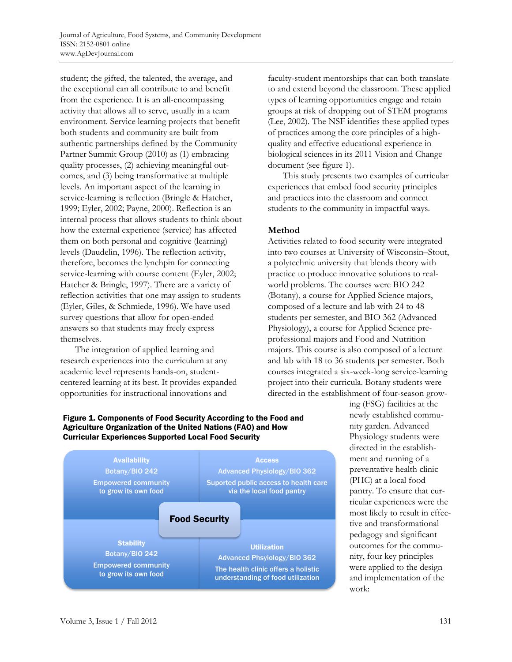student; the gifted, the talented, the average, and the exceptional can all contribute to and benefit from the experience. It is an all-encompassing activity that allows all to serve, usually in a team environment. Service learning projects that benefit both students and community are built from authentic partnerships defined by the Community Partner Summit Group (2010) as (1) embracing quality processes, (2) achieving meaningful outcomes, and (3) being transformative at multiple levels. An important aspect of the learning in service-learning is reflection (Bringle & Hatcher, 1999; Eyler, 2002; Payne, 2000). Reflection is an internal process that allows students to think about how the external experience (service) has affected them on both personal and cognitive (learning) levels (Daudelin, 1996). The reflection activity, therefore, becomes the lynchpin for connecting service-learning with course content (Eyler, 2002; Hatcher & Bringle, 1997). There are a variety of reflection activities that one may assign to students (Eyler, Giles, & Schmiede, 1996). We have used survey questions that allow for open-ended answers so that students may freely express themselves.

The integration of applied learning and research experiences into the curriculum at any academic level represents hands-on, studentcentered learning at its best. It provides expanded opportunities for instructional innovations and

faculty-student mentorships that can both translate to and extend beyond the classroom. These applied types of learning opportunities engage and retain groups at risk of dropping out of STEM programs (Lee, 2002). The NSF identifies these applied types of practices among the core principles of a highquality and effective educational experience in biological sciences in its 2011 Vision and Change document (see figure 1).

This study presents two examples of curricular experiences that embed food security principles and practices into the classroom and connect students to the community in impactful ways.

# **Method**

Activities related to food security were integrated into two courses at University of Wisconsin–Stout, a polytechnic university that blends theory with practice to produce innovative solutions to realworld problems. The courses were BIO 242 (Botany), a course for Applied Science majors, composed of a lecture and lab with 24 to 48 students per semester, and BIO 362 (Advanced Physiology), a course for Applied Science preprofessional majors and Food and Nutrition majors. This course is also composed of a lecture and lab with 18 to 36 students per semester. Both courses integrated a six-week-long service-learning project into their curricula. Botany students were directed in the establishment of four-season grow-



Figure 1. Components of Food Security According to the Food and Agriculture Organization of the United Nations (FAO) and How

ing (FSG) facilities at the newly established community garden. Advanced Physiology students were directed in the establishment and running of a preventative health clinic (PHC) at a local food pantry. To ensure that curricular experiences were the most likely to result in effective and transformational pedagogy and significant outcomes for the community, four key principles were applied to the design and implementation of the work: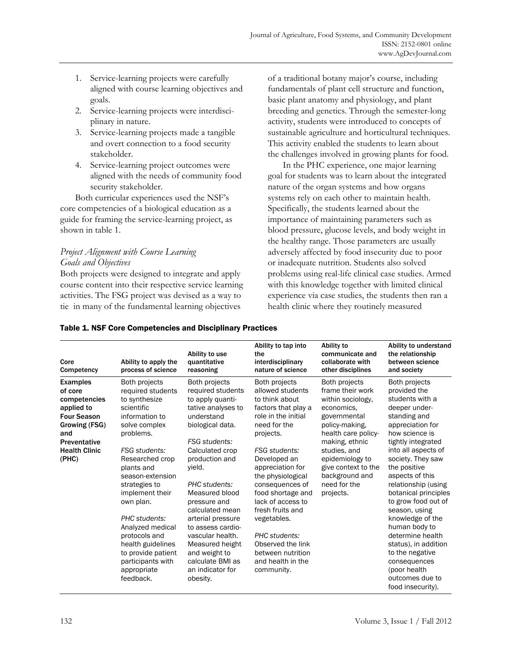- 1. Service-learning projects were carefully aligned with course learning objectives and goals.
- 2. Service-learning projects were interdisciplinary in nature.
- 3. Service-learning projects made a tangible and overt connection to a food security stakeholder.
- 4. Service-learning project outcomes were aligned with the needs of community food security stakeholder.

Both curricular experiences used the NSF's core competencies of a biological education as a guide for framing the service-learning project, as shown in table 1.

# *Project Alignment with Course Learning Goals and Objectives*

Both projects were designed to integrate and apply course content into their respective service learning activities. The FSG project was devised as a way to tie in many of the fundamental learning objectives

of a traditional botany major's course, including fundamentals of plant cell structure and function, basic plant anatomy and physiology, and plant breeding and genetics. Through the semester-long activity, students were introduced to concepts of sustainable agriculture and horticultural techniques. This activity enabled the students to learn about the challenges involved in growing plants for food.

In the PHC experience, one major learning goal for students was to learn about the integrated nature of the organ systems and how organs systems rely on each other to maintain health. Specifically, the students learned about the importance of maintaining parameters such as blood pressure, glucose levels, and body weight in the healthy range. Those parameters are usually adversely affected by food insecurity due to poor or inadequate nutrition. Students also solved problems using real-life clinical case studies. Armed with this knowledge together with limited clinical experience via case studies, the students then ran a health clinic where they routinely measured

| Core<br>Competency                                                                                                                                      | Ability to apply the<br>process of science                                                                                                                                                                                                                                                                                                                                                        | Ability to use<br>quantitative<br>reasoning                                                                                                                                                                                                                                                                                                                                                                       | Ability to tap into<br>the<br>interdisciplinary<br>nature of science                                                                                                                                                                                                                                                                                                                                          | Ability to<br>communicate and<br>collaborate with<br>other disciplines                                                                                                                                                                                   | Ability to understand<br>the relationship<br>between science<br>and society                                                                                                                                                                                                                                                                                                                                                                                                                     |
|---------------------------------------------------------------------------------------------------------------------------------------------------------|---------------------------------------------------------------------------------------------------------------------------------------------------------------------------------------------------------------------------------------------------------------------------------------------------------------------------------------------------------------------------------------------------|-------------------------------------------------------------------------------------------------------------------------------------------------------------------------------------------------------------------------------------------------------------------------------------------------------------------------------------------------------------------------------------------------------------------|---------------------------------------------------------------------------------------------------------------------------------------------------------------------------------------------------------------------------------------------------------------------------------------------------------------------------------------------------------------------------------------------------------------|----------------------------------------------------------------------------------------------------------------------------------------------------------------------------------------------------------------------------------------------------------|-------------------------------------------------------------------------------------------------------------------------------------------------------------------------------------------------------------------------------------------------------------------------------------------------------------------------------------------------------------------------------------------------------------------------------------------------------------------------------------------------|
| <b>Examples</b><br>of core<br>competencies<br>applied to<br><b>Four Season</b><br>Growing (FSG)<br>and<br>Preventative<br><b>Health Clinic</b><br>(PHC) | Both projects<br>required students<br>to synthesize<br>scientific<br>information to<br>solve complex<br>problems.<br><b>FSG</b> students:<br>Researched crop<br>plants and<br>season-extension<br>strategies to<br>implement their<br>own plan.<br>PHC students:<br>Analyzed medical<br>protocols and<br>health guidelines<br>to provide patient<br>participants with<br>appropriate<br>feedback. | Both projects<br>required students<br>to apply quanti-<br>tative analyses to<br>understand<br>biological data.<br><b>FSG</b> students:<br>Calculated crop<br>production and<br>yield.<br>PHC students:<br>Measured blood<br>pressure and<br>calculated mean<br>arterial pressure<br>to assess cardio-<br>vascular health.<br>Measured height<br>and weight to<br>calculate BMI as<br>an indicator for<br>obesity. | Both projects<br>allowed students<br>to think about<br>factors that play a<br>role in the initial<br>need for the<br>projects.<br><b>FSG</b> students:<br>Developed an<br>appreciation for<br>the physiological<br>consequences of<br>food shortage and<br>lack of access to<br>fresh fruits and<br>vegetables.<br>PHC students:<br>Observed the link<br>between nutrition<br>and health in the<br>community. | Both projects<br>frame their work<br>within sociology,<br>economics.<br>governmental<br>policy-making,<br>health care policy-<br>making, ethnic<br>studies, and<br>epidemiology to<br>give context to the<br>background and<br>need for the<br>projects. | Both projects<br>provided the<br>students with a<br>deeper under-<br>standing and<br>appreciation for<br>how science is<br>tightly integrated<br>into all aspects of<br>society. They saw<br>the positive<br>aspects of this<br>relationship (using<br>botanical principles<br>to grow food out of<br>season, using<br>knowledge of the<br>human body to<br>determine health<br>status), in addition<br>to the negative<br>consequences<br>(poor health<br>outcomes due to<br>food insecurity). |

# Table 1. NSF Core Competencies and Disciplinary Practices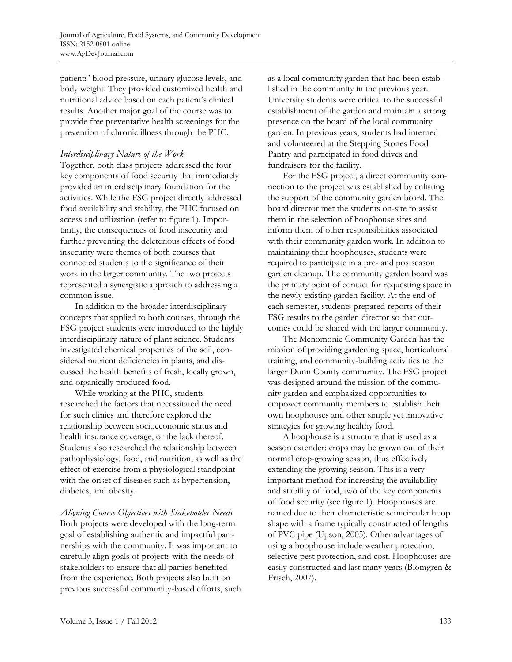patients' blood pressure, urinary glucose levels, and body weight. They provided customized health and nutritional advice based on each patient's clinical results. Another major goal of the course was to provide free preventative health screenings for the prevention of chronic illness through the PHC.

### *Interdisciplinary Nature of the Work*

Together, both class projects addressed the four key components of food security that immediately provided an interdisciplinary foundation for the activities. While the FSG project directly addressed food availability and stability, the PHC focused on access and utilization (refer to figure 1). Importantly, the consequences of food insecurity and further preventing the deleterious effects of food insecurity were themes of both courses that connected students to the significance of their work in the larger community. The two projects represented a synergistic approach to addressing a common issue.

In addition to the broader interdisciplinary concepts that applied to both courses, through the FSG project students were introduced to the highly interdisciplinary nature of plant science. Students investigated chemical properties of the soil, considered nutrient deficiencies in plants, and discussed the health benefits of fresh, locally grown, and organically produced food.

While working at the PHC, students researched the factors that necessitated the need for such clinics and therefore explored the relationship between socioeconomic status and health insurance coverage, or the lack thereof. Students also researched the relationship between pathophysiology, food, and nutrition, as well as the effect of exercise from a physiological standpoint with the onset of diseases such as hypertension, diabetes, and obesity.

*Aligning Course Objectives with Stakeholder Needs*  Both projects were developed with the long-term goal of establishing authentic and impactful partnerships with the community. It was important to carefully align goals of projects with the needs of stakeholders to ensure that all parties benefited from the experience. Both projects also built on previous successful community-based efforts, such as a local community garden that had been established in the community in the previous year. University students were critical to the successful establishment of the garden and maintain a strong presence on the board of the local community garden. In previous years, students had interned and volunteered at the Stepping Stones Food Pantry and participated in food drives and fundraisers for the facility.

For the FSG project, a direct community connection to the project was established by enlisting the support of the community garden board. The board director met the students on-site to assist them in the selection of hoophouse sites and inform them of other responsibilities associated with their community garden work. In addition to maintaining their hoophouses, students were required to participate in a pre- and postseason garden cleanup. The community garden board was the primary point of contact for requesting space in the newly existing garden facility. At the end of each semester, students prepared reports of their FSG results to the garden director so that outcomes could be shared with the larger community.

The Menomonie Community Garden has the mission of providing gardening space, horticultural training, and community-building activities to the larger Dunn County community. The FSG project was designed around the mission of the community garden and emphasized opportunities to empower community members to establish their own hoophouses and other simple yet innovative strategies for growing healthy food.

A hoophouse is a structure that is used as a season extender; crops may be grown out of their normal crop-growing season, thus effectively extending the growing season. This is a very important method for increasing the availability and stability of food, two of the key components of food security (see figure 1). Hoophouses are named due to their characteristic semicircular hoop shape with a frame typically constructed of lengths of PVC pipe (Upson, 2005). Other advantages of using a hoophouse include weather protection, selective pest protection, and cost. Hoophouses are easily constructed and last many years (Blomgren & Frisch, 2007).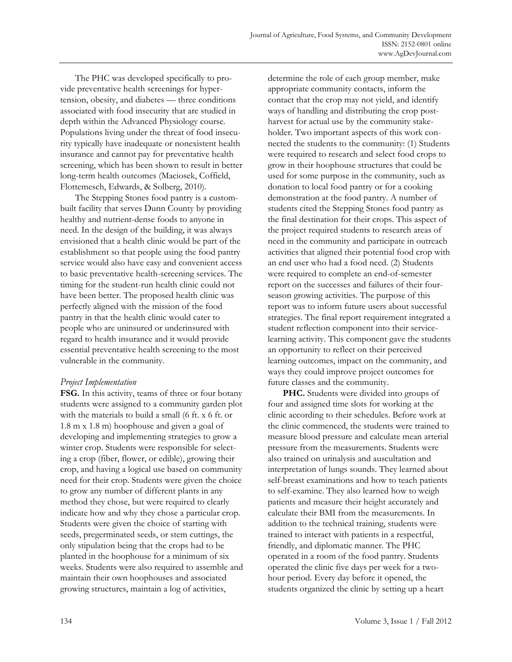The PHC was developed specifically to provide preventative health screenings for hypertension, obesity, and diabetes — three conditions associated with food insecurity that are studied in depth within the Advanced Physiology course. Populations living under the threat of food insecurity typically have inadequate or nonexistent health insurance and cannot pay for preventative health screening, which has been shown to result in better long-term health outcomes (Maciosek, Coffield, Flottemesch, Edwards, & Solberg, 2010).

The Stepping Stones food pantry is a custombuilt facility that serves Dunn County by providing healthy and nutrient-dense foods to anyone in need. In the design of the building, it was always envisioned that a health clinic would be part of the establishment so that people using the food pantry service would also have easy and convenient access to basic preventative health-screening services. The timing for the student-run health clinic could not have been better. The proposed health clinic was perfectly aligned with the mission of the food pantry in that the health clinic would cater to people who are uninsured or underinsured with regard to health insurance and it would provide essential preventative health screening to the most vulnerable in the community.

### *Project Implementation*

**FSG.** In this activity, teams of three or four botany students were assigned to a community garden plot with the materials to build a small (6 ft. x 6 ft. or 1.8 m x 1.8 m) hoophouse and given a goal of developing and implementing strategies to grow a winter crop. Students were responsible for selecting a crop (fiber, flower, or edible), growing their crop, and having a logical use based on community need for their crop. Students were given the choice to grow any number of different plants in any method they chose, but were required to clearly indicate how and why they chose a particular crop. Students were given the choice of starting with seeds, pregerminated seeds, or stem cuttings, the only stipulation being that the crops had to be planted in the hoophouse for a minimum of six weeks. Students were also required to assemble and maintain their own hoophouses and associated growing structures, maintain a log of activities,

determine the role of each group member, make appropriate community contacts, inform the contact that the crop may not yield, and identify ways of handling and distributing the crop postharvest for actual use by the community stakeholder. Two important aspects of this work connected the students to the community: (1) Students were required to research and select food crops to grow in their hoophouse structures that could be used for some purpose in the community, such as donation to local food pantry or for a cooking demonstration at the food pantry. A number of students cited the Stepping Stones food pantry as the final destination for their crops. This aspect of the project required students to research areas of need in the community and participate in outreach activities that aligned their potential food crop with an end user who had a food need. (2) Students were required to complete an end-of-semester report on the successes and failures of their fourseason growing activities. The purpose of this report was to inform future users about successful strategies. The final report requirement integrated a student reflection component into their servicelearning activity. This component gave the students an opportunity to reflect on their perceived learning outcomes, impact on the community, and ways they could improve project outcomes for future classes and the community.

**PHC.** Students were divided into groups of four and assigned time slots for working at the clinic according to their schedules. Before work at the clinic commenced, the students were trained to measure blood pressure and calculate mean arterial pressure from the measurements. Students were also trained on urinalysis and auscultation and interpretation of lungs sounds. They learned about self-breast examinations and how to teach patients to self-examine. They also learned how to weigh patients and measure their height accurately and calculate their BMI from the measurements. In addition to the technical training, students were trained to interact with patients in a respectful, friendly, and diplomatic manner. The PHC operated in a room of the food pantry. Students operated the clinic five days per week for a twohour period. Every day before it opened, the students organized the clinic by setting up a heart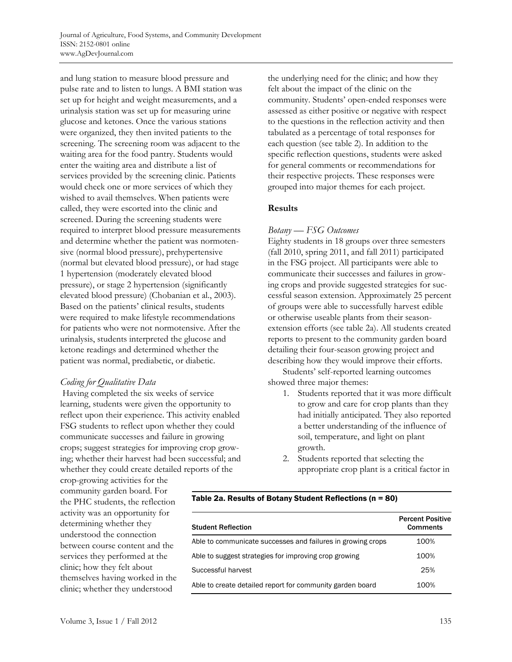and lung station to measure blood pressure and pulse rate and to listen to lungs. A BMI station was set up for height and weight measurements, and a urinalysis station was set up for measuring urine glucose and ketones. Once the various stations were organized, they then invited patients to the screening. The screening room was adjacent to the waiting area for the food pantry. Students would enter the waiting area and distribute a list of services provided by the screening clinic. Patients would check one or more services of which they wished to avail themselves. When patients were called, they were escorted into the clinic and screened. During the screening students were required to interpret blood pressure measurements and determine whether the patient was normotensive (normal blood pressure), prehypertensive (normal but elevated blood pressure), or had stage 1 hypertension (moderately elevated blood pressure), or stage 2 hypertension (significantly elevated blood pressure) (Chobanian et al., 2003). Based on the patients' clinical results, students were required to make lifestyle recommendations for patients who were not normotensive. After the urinalysis, students interpreted the glucose and ketone readings and determined whether the patient was normal, prediabetic, or diabetic.

### *Coding for Qualitative Data*

 Having completed the six weeks of service learning, students were given the opportunity to reflect upon their experience. This activity enabled FSG students to reflect upon whether they could communicate successes and failure in growing crops; suggest strategies for improving crop growing; whether their harvest had been successful; and whether they could create detailed reports of the

crop-growing activities for the community garden board. For the PHC students, the reflection activity was an opportunity for determining whether they understood the connection between course content and the services they performed at the clinic; how they felt about themselves having worked in the clinic; whether they understood

the underlying need for the clinic; and how they felt about the impact of the clinic on the community. Students' open-ended responses were assessed as either positive or negative with respect to the questions in the reflection activity and then tabulated as a percentage of total responses for each question (see table 2). In addition to the specific reflection questions, students were asked for general comments or recommendations for their respective projects. These responses were grouped into major themes for each project.

# **Results**

### *Botany — FSG Outcomes*

Eighty students in 18 groups over three semesters (fall 2010, spring 2011, and fall 2011) participated in the FSG project. All participants were able to communicate their successes and failures in growing crops and provide suggested strategies for successful season extension. Approximately 25 percent of groups were able to successfully harvest edible or otherwise useable plants from their seasonextension efforts (see table 2a). All students created reports to present to the community garden board detailing their four-season growing project and describing how they would improve their efforts.

Students' self-reported learning outcomes showed three major themes:

- 1. Students reported that it was more difficult to grow and care for crop plants than they had initially anticipated. They also reported a better understanding of the influence of soil, temperature, and light on plant growth.
- 2. Students reported that selecting the appropriate crop plant is a critical factor in

#### Table 2a. Results of Botany Student Reflections (n = 80)

| <b>Student Reflection</b>                                   | <b>Percent Positive</b><br><b>Comments</b> |
|-------------------------------------------------------------|--------------------------------------------|
| Able to communicate successes and failures in growing crops | 100%                                       |
| Able to suggest strategies for improving crop growing       | 100%                                       |
| Successful harvest                                          | 25%                                        |
| Able to create detailed report for community garden board   | 100%                                       |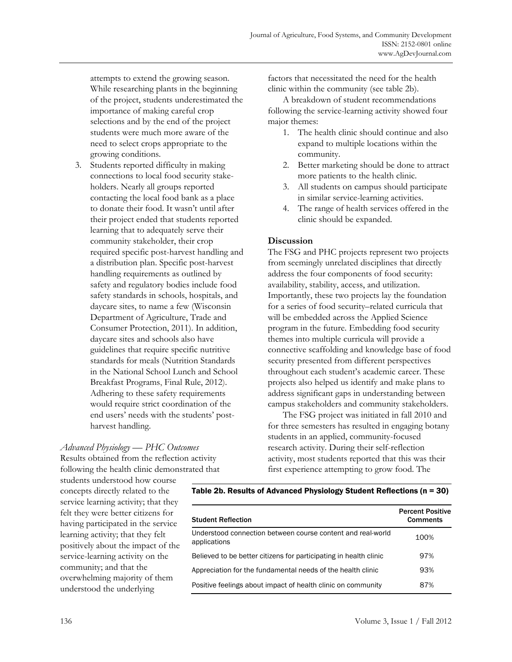attempts to extend the growing season. While researching plants in the beginning of the project, students underestimated the importance of making careful crop selections and by the end of the project students were much more aware of the need to select crops appropriate to the growing conditions.

3. Students reported difficulty in making connections to local food security stakeholders. Nearly all groups reported contacting the local food bank as a place to donate their food. It wasn't until after their project ended that students reported learning that to adequately serve their community stakeholder, their crop required specific post-harvest handling and a distribution plan. Specific post-harvest handling requirements as outlined by safety and regulatory bodies include food safety standards in schools, hospitals, and daycare sites, to name a few (Wisconsin Department of Agriculture, Trade and Consumer Protection, 2011). In addition, daycare sites and schools also have guidelines that require specific nutritive standards for meals (Nutrition Standards in the National School Lunch and School Breakfast Programs, Final Rule, 2012). Adhering to these safety requirements would require strict coordination of the end users' needs with the students' postharvest handling.

factors that necessitated the need for the health clinic within the community (see table 2b).

A breakdown of student recommendations following the service-learning activity showed four major themes:

- 1. The health clinic should continue and also expand to multiple locations within the community.
- 2. Better marketing should be done to attract more patients to the health clinic.
- 3. All students on campus should participate in similar service-learning activities.
- 4. The range of health services offered in the clinic should be expanded.

### **Discussion**

The FSG and PHC projects represent two projects from seemingly unrelated disciplines that directly address the four components of food security: availability, stability, access, and utilization. Importantly, these two projects lay the foundation for a series of food security–related curricula that will be embedded across the Applied Science program in the future. Embedding food security themes into multiple curricula will provide a connective scaffolding and knowledge base of food security presented from different perspectives throughout each student's academic career. These projects also helped us identify and make plans to address significant gaps in understanding between campus stakeholders and community stakeholders.

The FSG project was initiated in fall 2010 and for three semesters has resulted in engaging botany students in an applied, community-focused research activity. During their self-reflection activity, most students reported that this was their first experience attempting to grow food. The

*Advanced Physiology — PHC Outcomes* 

Results obtained from the reflection activity following the health clinic demonstrated that

students understood how course concepts directly related to the service learning activity; that they felt they were better citizens for having participated in the service learning activity; that they felt positively about the impact of the service-learning activity on the community; and that the overwhelming majority of them understood the underlying

#### Table 2b. Results of Advanced Physiology Student Reflections (n = 30)

| <b>Student Reflection</b>                                                   | <b>Percent Positive</b><br><b>Comments</b> |
|-----------------------------------------------------------------------------|--------------------------------------------|
| Understood connection between course content and real-world<br>applications | 100%                                       |
| Believed to be better citizens for participating in health clinic           | 97%                                        |
| Appreciation for the fundamental needs of the health clinic                 | 93%                                        |
| Positive feelings about impact of health clinic on community                | 87%                                        |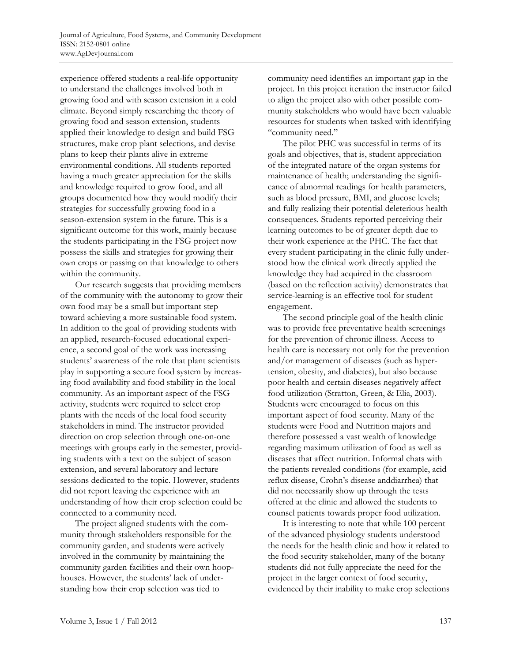experience offered students a real-life opportunity to understand the challenges involved both in growing food and with season extension in a cold climate. Beyond simply researching the theory of growing food and season extension, students applied their knowledge to design and build FSG structures, make crop plant selections, and devise plans to keep their plants alive in extreme environmental conditions. All students reported having a much greater appreciation for the skills and knowledge required to grow food, and all groups documented how they would modify their strategies for successfully growing food in a season-extension system in the future. This is a significant outcome for this work, mainly because the students participating in the FSG project now possess the skills and strategies for growing their own crops or passing on that knowledge to others within the community.

Our research suggests that providing members of the community with the autonomy to grow their own food may be a small but important step toward achieving a more sustainable food system. In addition to the goal of providing students with an applied, research-focused educational experience, a second goal of the work was increasing students' awareness of the role that plant scientists play in supporting a secure food system by increasing food availability and food stability in the local community. As an important aspect of the FSG activity, students were required to select crop plants with the needs of the local food security stakeholders in mind. The instructor provided direction on crop selection through one-on-one meetings with groups early in the semester, providing students with a text on the subject of season extension, and several laboratory and lecture sessions dedicated to the topic. However, students did not report leaving the experience with an understanding of how their crop selection could be connected to a community need.

The project aligned students with the community through stakeholders responsible for the community garden, and students were actively involved in the community by maintaining the community garden facilities and their own hoophouses. However, the students' lack of understanding how their crop selection was tied to

community need identifies an important gap in the project. In this project iteration the instructor failed to align the project also with other possible community stakeholders who would have been valuable resources for students when tasked with identifying "community need."

The pilot PHC was successful in terms of its goals and objectives, that is, student appreciation of the integrated nature of the organ systems for maintenance of health; understanding the significance of abnormal readings for health parameters, such as blood pressure, BMI, and glucose levels; and fully realizing their potential deleterious health consequences. Students reported perceiving their learning outcomes to be of greater depth due to their work experience at the PHC. The fact that every student participating in the clinic fully understood how the clinical work directly applied the knowledge they had acquired in the classroom (based on the reflection activity) demonstrates that service-learning is an effective tool for student engagement.

The second principle goal of the health clinic was to provide free preventative health screenings for the prevention of chronic illness. Access to health care is necessary not only for the prevention and/or management of diseases (such as hypertension, obesity, and diabetes), but also because poor health and certain diseases negatively affect food utilization (Stratton, Green, & Elia, 2003). Students were encouraged to focus on this important aspect of food security. Many of the students were Food and Nutrition majors and therefore possessed a vast wealth of knowledge regarding maximum utilization of food as well as diseases that affect nutrition. Informal chats with the patients revealed conditions (for example, acid reflux disease, Crohn's disease anddiarrhea) that did not necessarily show up through the tests offered at the clinic and allowed the students to counsel patients towards proper food utilization.

It is interesting to note that while 100 percent of the advanced physiology students understood the needs for the health clinic and how it related to the food security stakeholder, many of the botany students did not fully appreciate the need for the project in the larger context of food security, evidenced by their inability to make crop selections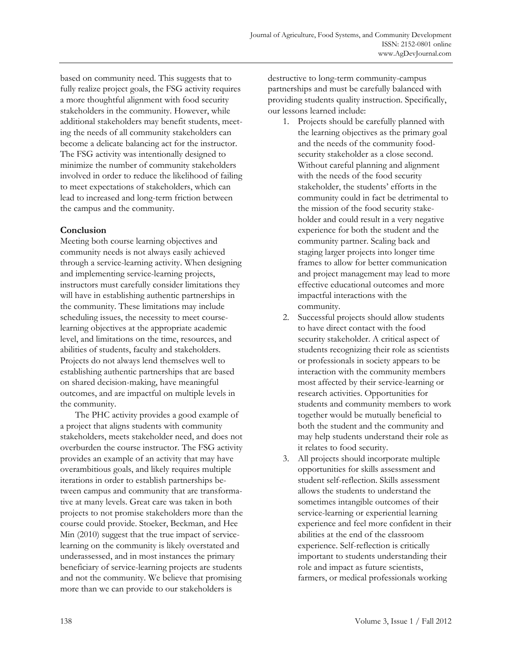based on community need. This suggests that to fully realize project goals, the FSG activity requires a more thoughtful alignment with food security stakeholders in the community. However, while additional stakeholders may benefit students, meeting the needs of all community stakeholders can become a delicate balancing act for the instructor. The FSG activity was intentionally designed to minimize the number of community stakeholders involved in order to reduce the likelihood of failing to meet expectations of stakeholders, which can lead to increased and long-term friction between the campus and the community.

# **Conclusion**

Meeting both course learning objectives and community needs is not always easily achieved through a service-learning activity. When designing and implementing service-learning projects, instructors must carefully consider limitations they will have in establishing authentic partnerships in the community. These limitations may include scheduling issues, the necessity to meet courselearning objectives at the appropriate academic level, and limitations on the time, resources, and abilities of students, faculty and stakeholders. Projects do not always lend themselves well to establishing authentic partnerships that are based on shared decision-making, have meaningful outcomes, and are impactful on multiple levels in the community.

The PHC activity provides a good example of a project that aligns students with community stakeholders, meets stakeholder need, and does not overburden the course instructor. The FSG activity provides an example of an activity that may have overambitious goals, and likely requires multiple iterations in order to establish partnerships between campus and community that are transformative at many levels. Great care was taken in both projects to not promise stakeholders more than the course could provide. Stoeker, Beckman, and Hee Min (2010) suggest that the true impact of servicelearning on the community is likely overstated and underassessed, and in most instances the primary beneficiary of service-learning projects are students and not the community. We believe that promising more than we can provide to our stakeholders is

destructive to long-term community-campus partnerships and must be carefully balanced with providing students quality instruction. Specifically, our lessons learned include:

- 1. Projects should be carefully planned with the learning objectives as the primary goal and the needs of the community foodsecurity stakeholder as a close second. Without careful planning and alignment with the needs of the food security stakeholder, the students' efforts in the community could in fact be detrimental to the mission of the food security stakeholder and could result in a very negative experience for both the student and the community partner. Scaling back and staging larger projects into longer time frames to allow for better communication and project management may lead to more effective educational outcomes and more impactful interactions with the community.
- 2. Successful projects should allow students to have direct contact with the food security stakeholder. A critical aspect of students recognizing their role as scientists or professionals in society appears to be interaction with the community members most affected by their service-learning or research activities. Opportunities for students and community members to work together would be mutually beneficial to both the student and the community and may help students understand their role as it relates to food security.
- 3. All projects should incorporate multiple opportunities for skills assessment and student self-reflection. Skills assessment allows the students to understand the sometimes intangible outcomes of their service-learning or experiential learning experience and feel more confident in their abilities at the end of the classroom experience. Self-reflection is critically important to students understanding their role and impact as future scientists, farmers, or medical professionals working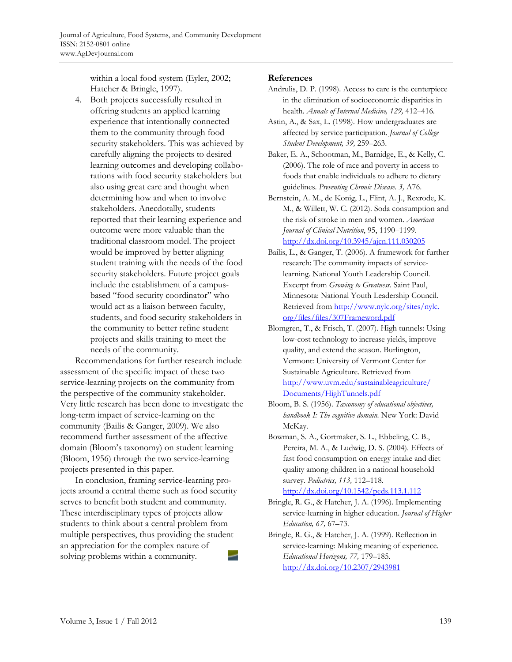within a local food system (Eyler, 2002; Hatcher & Bringle, 1997).

4. Both projects successfully resulted in offering students an applied learning experience that intentionally connected them to the community through food security stakeholders. This was achieved by carefully aligning the projects to desired learning outcomes and developing collaborations with food security stakeholders but also using great care and thought when determining how and when to involve stakeholders. Anecdotally, students reported that their learning experience and outcome were more valuable than the traditional classroom model. The project would be improved by better aligning student training with the needs of the food security stakeholders. Future project goals include the establishment of a campusbased "food security coordinator" who would act as a liaison between faculty, students, and food security stakeholders in the community to better refine student projects and skills training to meet the needs of the community.

 Recommendations for further research include assessment of the specific impact of these two service-learning projects on the community from the perspective of the community stakeholder. Very little research has been done to investigate the long-term impact of service-learning on the community (Bailis & Ganger, 2009). We also recommend further assessment of the affective domain (Bloom's taxonomy) on student learning (Bloom, 1956) through the two service-learning projects presented in this paper.

 In conclusion, framing service-learning projects around a central theme such as food security serves to benefit both student and community. These interdisciplinary types of projects allow students to think about a central problem from multiple perspectives, thus providing the student an appreciation for the complex nature of solving problems within a community.

### **References**

- Andrulis, D. P. (1998). Access to care is the centerpiece in the elimination of socioeconomic disparities in health. *Annals of Internal Medicine, 129,* 412–416.
- Astin, A., & Sax, L. (1998). How undergraduates are affected by service participation. *Journal of College Student Development, 39,* 259–263.
- Baker, E. A., Schootman, M., Barnidge, E., & Kelly, C. (2006). The role of race and poverty in access to foods that enable individuals to adhere to dietary guidelines. *Preventing Chronic Disease*. *3,* A76.
- Bernstein, A. M., de Konig, L., Flint, A. J., Rexrode, K. M., & Willett, W. C. (2012). Soda consumption and the risk of stroke in men and women. *American Journal of Clinical Nutrition*, 95, 1190–1199. http://dx.doi.org/10.3945/ajcn.111.030205
- Bailis, L., & Ganger, T. (2006). A framework for further research: The community impacts of servicelearning. National Youth Leadership Council. Excerpt from *Growing to Greatness.* Saint Paul, Minnesota: National Youth Leadership Council. [Retrieved from http://www.nylc.org/sites/nylc.](http://www.nylc.org/sites/nylc.org/files/files/307Frameword.pdf)  org/files/files/307Frameword.pdf
- Blomgren, T., & Frisch, T. (2007). High tunnels: Using low-cost technology to increase yields, improve quality, and extend the season. Burlington, Vermont: University of Vermont Center for Sustainable Agriculture. Retrieved from [http://www.uvm.edu/sustainableagriculture/](http://www.uvm.edu/sustainableagriculture/Documents/HighTunnels.pdf) Documents/HighTunnels.pdf
- Bloom, B. S. (1956). *Taxonomy of educational objectives, handbook I: The cognitive domain.* New York: David McKay.
- Bowman, S. A., Gortmaker, S. L., Ebbeling, C. B., Pereira, M. A., & Ludwig, D. S. (2004). Effects of fast food consumption on energy intake and diet quality among children in a national household survey. *Pediatrics, 113,* 112–118. http://dx.doi.org/10.1542/peds.113.1.112
- Bringle, R. G., & Hatcher, J. A. (1996). Implementing service-learning in higher education. *Journal of Higher Education, 67,* 67–73.
- Bringle, R. G., & Hatcher, J. A. (1999). Reflection in service-learning: Making meaning of experience. *Educational Horizons, 77,* 179–185. http://dx.doi.org/10.2307/2943981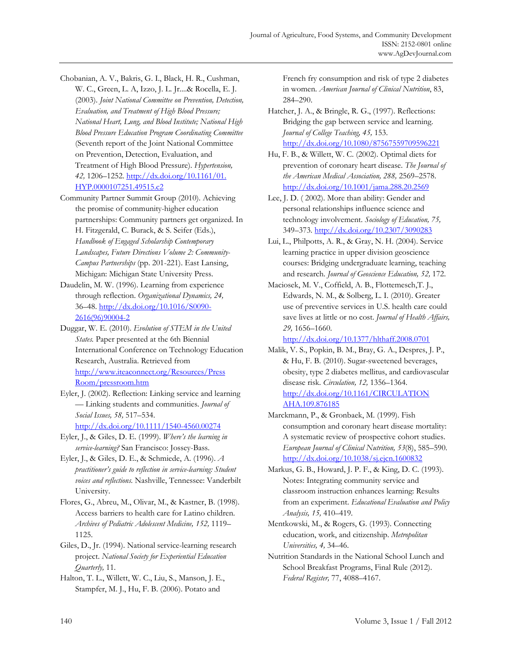- Chobanian, A. V., Bakris, G. I., Black, H. R., Cushman, W. C., Green, L. A, Izzo, J. L. Jr....& Rocella, E. J. (2003). *Joint National Committee on Prevention, Detection, Evaluation, and Treatment of High Blood Pressure; National Heart, Lung, and Blood Institute; National High Blood Pressure Education Program Coordinating Committee* (Seventh report of the Joint National Committee on Prevention, Detection, Evaluation, and Treatment of High Blood Pressure). *Hypertension, 42,* [1206–1252. http://dx.doi.org/10.1161/01.](http://dx.doi.org/10.1161/01.HYP.0000107251.49515.c2)  HYP.0000107251.49515.c2
- Community Partner Summit Group (2010). Achieving the promise of community-higher education partnerships: Community partners get organized. In H. Fitzgerald, C. Burack, & S. Seifer (Eds.), *Handbook of Engaged Scholarship Contemporary Landscapes, Future Directions Volume 2: Community-Campus Partnerships* (pp. 201-221). East Lansing, Michigan: Michigan State University Press.
- Daudelin, M. W. (1996). Learning from experience through reflection. *Organizational Dynamics, 24,*  [36–48. http://dx.doi.org/10.1016/S0090-](http://dx.doi.org/10.1016/S0090-2616(96)90004-2) 2616(96)90004-2
- Duggar, W. E. (2010). *Evolution of STEM in the United States.* Paper presented at the 6th Biennial International Conference on Technology Education Research, Australia. Retrieved from [http://www.iteaconnect.org/Resources/Press](http://www.iteaconnect.org/Resources/PressRoom/pressroom.htm)  Room/pressroom.htm
- Eyler, J. (2002). Reflection: Linking service and learning — Linking students and communities. *Journal of Social Issues, 58,* 517–534. http://dx.doi.org/10.1111/1540-4560.00274
- Eyler, J., & Giles, D. E. (1999). *Where's the learning in service-learning?* San Francisco: Jossey-Bass.
- Eyler, J., & Giles, D. E., & Schmiede, A. (1996). *A practitioner's guide to reflection in service-learning: Student voices and reflections.* Nashville, Tennessee: Vanderbilt University.
- Flores, G., Abreu, M., Olivar, M., & Kastner, B. (1998). Access barriers to health care for Latino children. *Archives of Pediatric Adolescent Medicine, 152,* 1119– 1125.
- Giles, D., Jr. (1994). National service-learning research project. *National Society for Experiential Education Quarterly,* 11.

Halton, T. L., Willett, W. C., Liu, S., Manson, J. E., Stampfer, M. J., Hu, F. B. (2006). Potato and

French fry consumption and risk of type 2 diabetes in women. *American Journal of Clinical Nutrition*, 83, 284–290.

- Hatcher, J. A., & Bringle, R. G., (1997). Reflections: Bridging the gap between service and learning. *Journal of College Teaching, 45,* 153. http://dx.doi.org/10.1080/87567559709596221
- Hu, F. B., & Willett, W. C. (2002). Optimal diets for prevention of coronary heart disease. *The Journal of the American Medical Association, 288,* 2569–2578. http://dx.doi.org/10.1001/jama.288.20.2569
- Lee, J. D. ( 2002). More than ability: Gender and personal relationships influence science and technology involvement. *Sociology of Education, 75,*  349–373. http://dx.doi.org/10.2307/3090283
- Lui, L., Philpotts, A. R., & Gray, N. H. (2004). Service learning practice in upper division geoscience courses: Bridging undergraduate learning, teaching and research. *Journal of Geoscience Education, 52,* 172.
- Maciosek, M. V., Coffield, A. B., Flottemesch,T. J., Edwards, N. M., & Solberg, L. I. (2010). Greater use of preventive services in U.S. health care could save lives at little or no cost. *Journal of Health Affairs, 29,* 1656–1660.

http://dx.doi.org/10.1377/hlthaff.2008.0701

- Malik, V. S., Popkin, B. M., Bray, G. A., Despres, J. P., & Hu, F. B. (2010). Sugar-sweetened beverages, obesity, type 2 diabetes mellitus, and cardiovascular disease risk. *Circulation, 12,* 1356–1364. [http://dx.doi.org/10.1161/CIRCULATION](http://dx.doi.org/10.1161/CIRCULATIONAHA.109.876185)  AHA.109.876185
- Marckmann, P., & Gronbaek, M. (1999). Fish consumption and coronary heart disease mortality: A systematic review of prospective cohort studies. *European Journal of Clinical Nutrition, 53*(8), 585–590. http://dx.doi.org/10.1038/sj.ejcn.1600832
- Markus, G. B., Howard, J. P. F., & King, D. C. (1993). Notes: Integrating community service and classroom instruction enhances learning: Results from an experiment. *Educational Evaluation and Policy Analysis, 15,* 410–419.
- Mentkowski, M., & Rogers, G. (1993). Connecting education, work, and citizenship. *Metropolitan Universities, 4,* 34–46.
- Nutrition Standards in the National School Lunch and School Breakfast Programs, Final Rule (2012). *Federal Register,* 77, 4088–4167.